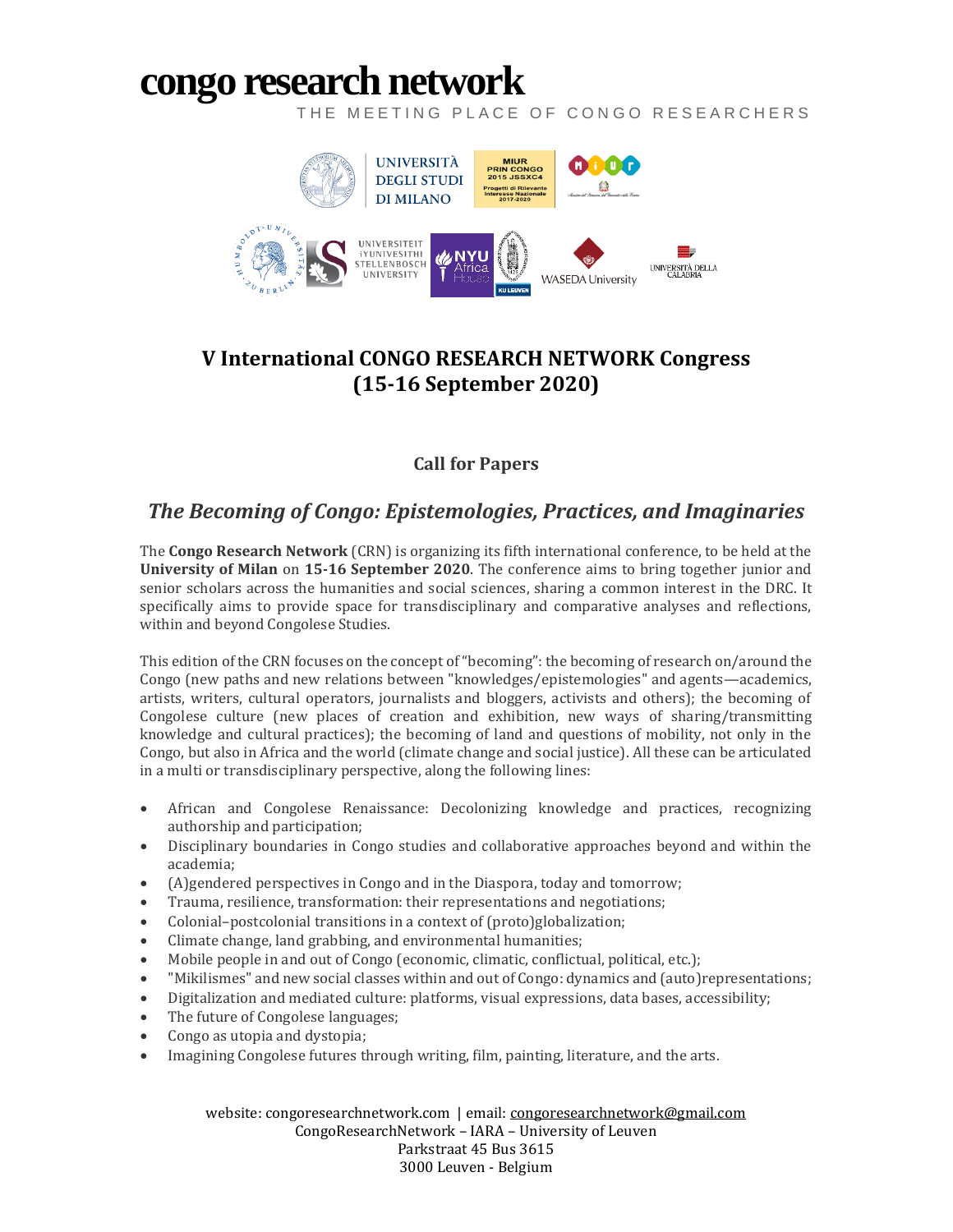# **congo [research](http://congoresearchnetwork.com/) network**

THE MEETING PLACE OF CONGO RESEARCHERS



### **V International CONGO RESEARCH NETWORK Congress (15-16 September 2020)**

### **Call for Papers**

## *The Becoming of Congo: Epistemologies, Practices, and Imaginaries*

The **Congo Research Network** (CRN) is organizing its fifth international conference, to be held at the **University of Milan** on **15-16 September 2020**. The conference aims to bring together junior and senior scholars across the humanities and social sciences, sharing a common interest in the DRC. It specifically aims to provide space for transdisciplinary and comparative analyses and reflections, within and beyond Congolese Studies.

This edition of the CRN focuses on the concept of "becoming": the becoming of research on/around the Congo (new paths and new relations between "knowledges/epistemologies" and agents—academics, artists, writers, cultural operators, journalists and bloggers, activists and others); the becoming of Congolese culture (new places of creation and exhibition, new ways of sharing/transmitting knowledge and cultural practices); the becoming of land and questions of mobility, not only in the Congo, but also in Africa and the world (climate change and social justice). All these can be articulated in a multi or transdisciplinary perspective, along the following lines:

- African and Congolese Renaissance: Decolonizing knowledge and practices, recognizing authorship and participation;
- Disciplinary boundaries in Congo studies and collaborative approaches beyond and within the academia;
- (A)gendered perspectives in Congo and in the Diaspora, today and tomorrow;
- Trauma, resilience, transformation: their representations and negotiations;
- Colonial–postcolonial transitions in a context of (proto)globalization;
- Climate change, land grabbing, and environmental humanities;
- Mobile people in and out of Congo (economic, climatic, conflictual, political, etc.);
- "Mikilismes" and new social classes within and out of Congo: dynamics and (auto)representations;
- Digitalization and mediated culture: platforms, visual expressions, data bases, accessibility;
- The future of Congolese languages;
- Congo as utopia and dystopia;
- Imagining Congolese futures through writing, film, painting, literature, and the arts.

website: congoresearchnetwork.com | email: [congoresearchnetwork@gmail.com](mailto:congoresearchnetwork@gmail.com) CongoResearchNetwork – IARA – University of Leuven Parkstraat 45 Bus 3615 3000 Leuven - Belgium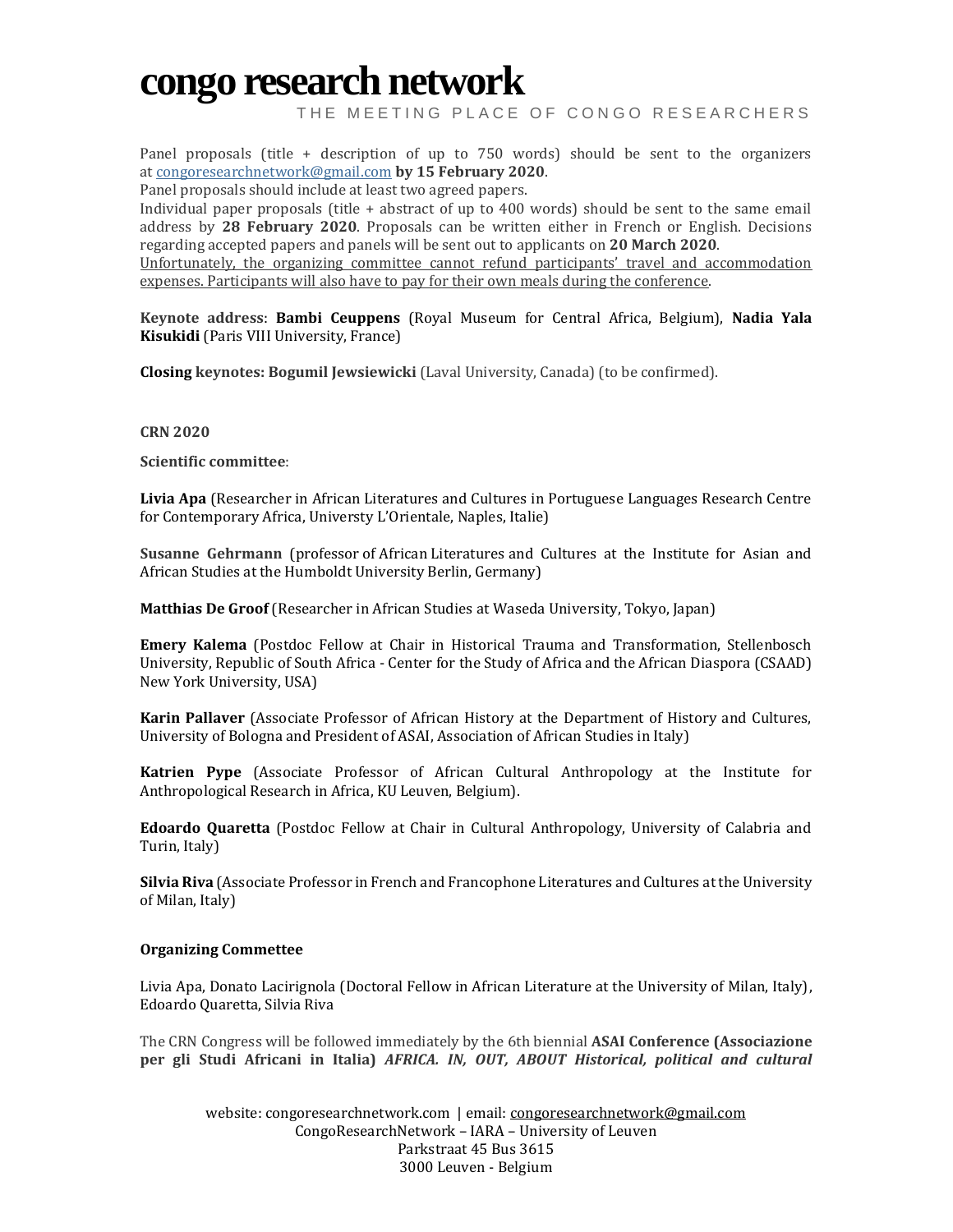## **congo [research](http://congoresearchnetwork.com/) network**

THE MEETING PLACE OF CONGO RESEARCHERS

Panel proposals (title + description of up to 750 words) should be sent to the organizers at [congoresearchnetwork@gmail.com](mailto:congoresearchnetwork@gmail.com) **by 15 February 2020**.

Panel proposals should include at least two agreed papers.

Individual paper proposals (title + abstract of up to 400 words) should be sent to the same email address by **28 February 2020**. Proposals can be written either in French or English. Decisions regarding accepted papers and panels will be sent out to applicants on **20 March 2020**.

Unfortunately, the organizing committee cannot refund participants' travel and accommodation expenses. Participants will also have to pay for their own meals during the conference.

**Keynote address**: **Bambi Ceuppens** (Royal Museum for Central Africa, Belgium), **Nadia Yala Kisukidi** (Paris VIII University, France)

**Closing keynotes: Bogumil Jewsiewicki** (Laval University, Canada) (to be confirmed).

#### **CRN 2020**

**Scientific committee**:

**Livia Apa** (Researcher in African Literatures and Cultures in Portuguese Languages Research Centre for Contemporary Africa, Universty L'Orientale, Naples, Italie)

**Susanne Gehrmann** (professor of African Literatures and Cultures at the Institute for Asian and African Studies at the Humboldt University Berlin, Germany)

**Matthias De Groof** (Researcher in African Studies at Waseda University, Tokyo, Japan)

**Emery Kalema** (Postdoc Fellow at Chair in Historical Trauma and Transformation, Stellenbosch University, Republic of South Africa - Center for the Study of Africa and the African Diaspora (CSAAD) New York University, USA)

**Karin Pallaver** (Associate Professor of African History at the Department of History and Cultures, University of Bologna and President of ASAI, Association of African Studies in Italy)

**Katrien Pype** (Associate Professor of African Cultural Anthropology at the Institute for Anthropological Research in Africa, KU Leuven, Belgium).

**Edoardo Quaretta** (Postdoc Fellow at Chair in Cultural Anthropology, University of Calabria and Turin, Italy)

**Silvia Riva** (Associate Professor in French and Francophone Literatures and Cultures at the University of Milan, Italy)

#### **Organizing Commettee**

Livia Apa, Donato Lacirignola (Doctoral Fellow in African Literature at the University of Milan, Italy), Edoardo Quaretta, Silvia Riva

The CRN Congress will be followed immediately by the 6th biennial **ASAI Conference (Associazione per gli Studi Africani in Italia)** *AFRICA. IN, OUT, ABOUT Historical, political and cultural*